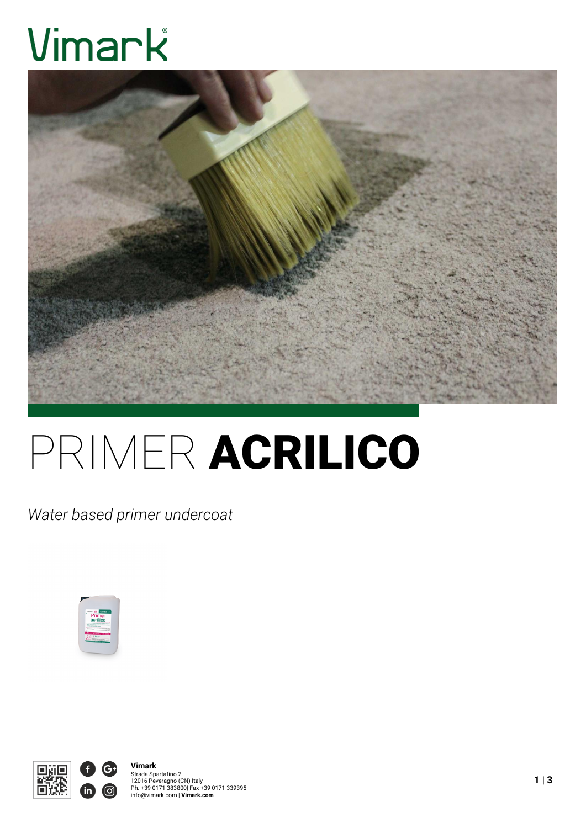# Vimark



## PRIMER ACRILICO

*Water based primer undercoat*



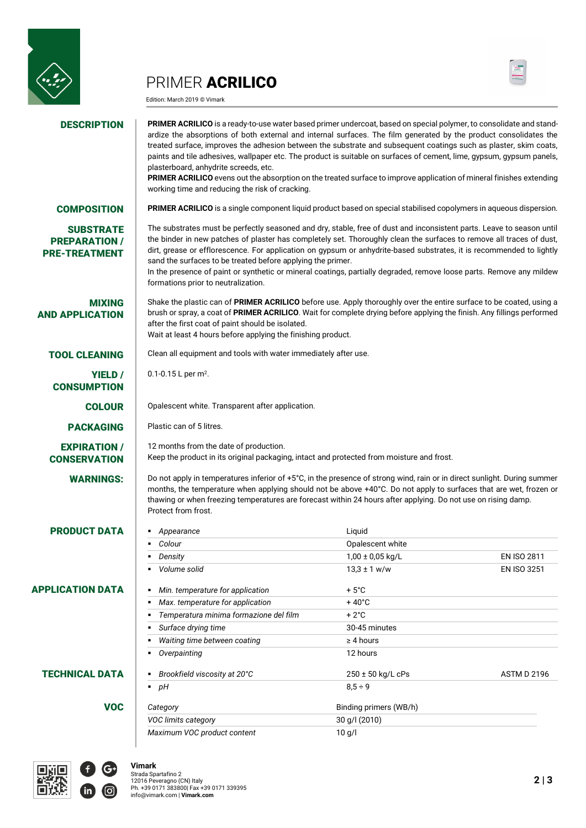

### PRIMER ACRILICO

Edition: March 2019 © Vimark



### **DESCRIPTION PRIMER ACRILICO** is a ready-to-use water based primer undercoat, based on special polymer, to consolidate and standardize the absorptions of both external and internal surfaces. The film generated by the product consolidates the treated surface, improves the adhesion between the substrate and subsequent coatings such as plaster, skim coats, paints and tile adhesives, wallpaper etc. The product is suitable on surfaces of cement, lime, gypsum, gypsum panels, plasterboard, anhydrite screeds, etc. **PRIMER ACRILICO** evens out the absorption on the treated surface to improve application of mineral finishes extending working time and reducing the risk of cracking. COMPOSITION **PRIMER ACRILICO** is a single component liquid product based on special stabilised copolymers in aqueous dispersion. **SUBSTRATE** PREPARATION / PRE-TREATMENT The substrates must be perfectly seasoned and dry, stable, free of dust and inconsistent parts. Leave to season until the binder in new patches of plaster has completely set. Thoroughly clean the surfaces to remove all traces of dust, dirt, grease or efflorescence. For application on gypsum or anhydrite-based substrates, it is recommended to lightly sand the surfaces to be treated before applying the primer. In the presence of paint or synthetic or mineral coatings, partially degraded, remove loose parts. Remove any mildew formations prior to neutralization. MIXING AND APPLICATION Shake the plastic can of **PRIMER ACRILICO** before use. Apply thoroughly over the entire surface to be coated, using a brush or spray, a coat of **PRIMER ACRILICO**. Wait for complete drying before applying the finish. Any fillings performed after the first coat of paint should be isolated. Wait at least 4 hours before applying the finishing product. **TOOL CLEANING** Clean all equipment and tools with water immediately after use. YIELD / **CONSUMPTION** 0.1-0.15 L per  $m^2$ . COLOUR COPALESCENT White. Transparent after application. PACKAGING Plastic can of 5 litres. EXPIRATION / **CONSERVATION** 12 months from the date of production. Keep the product in its original packaging, intact and protected from moisture and frost. WARNINGS: Do not apply in temperatures inferior of +5°C, in the presence of strong wind, rain or in direct sunlight. During summer months, the temperature when applying should not be above +40°C. Do not apply to surfaces that are wet, frozen or thawing or when freezing temperatures are forecast within 24 hours after applying. Do not use on rising damp. Protect from frost. **PRODUCT DATA** *• Appearance* Liquid **Colour** Colour Colour Colour Colour Colour Colour Colour Colour Colour Colour Colour Colour Colour Colour Colour Colour Colour Colour Colour Colour Colour Colour Colour Colour Colour Colour Colour Colour Colour Colour Col *Density* 1,00 ± 0,05 kg/L EN ISO 2811 *Volume solid* 13,3 ± 1 w/w EN ISO 3251 APPLICATION DATA *Min. temperature for application* + 5°C *Max. temperature for application*  $+40^{\circ}$ C ■ Temperatura minima formazione del film **+2°C Surface drying time** 30-45 minutes *Waiting time between coating* ≥ 4 hours *Overpainting* 12 hours **TECHNICAL DATA B** *Brookfield viscosity at 20°C* 250 ± 50 kg/L cPs ASTM D 2196 ■ *pH* 8,5 ÷ 9 VOC *Category* Binding primers (WB/h) *VOC limits category* 30 g/l (2010) *Maximum VOC product content* 10 g/l